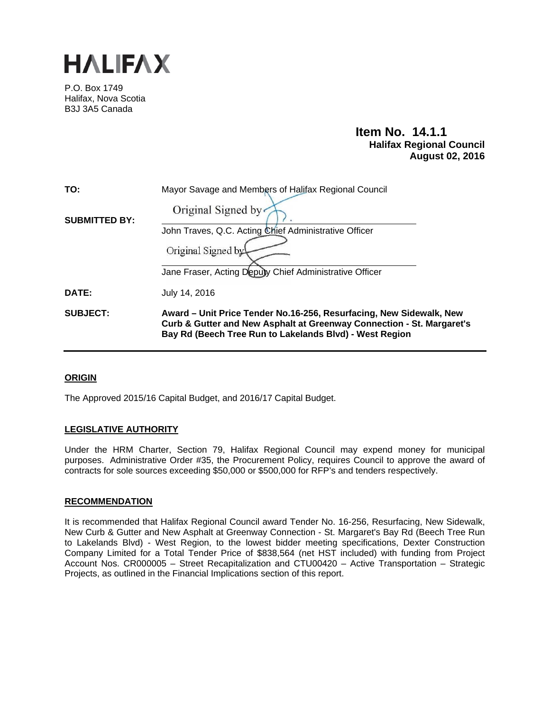

P.O. Box 1749 Halifax, Nova Scotia B3J 3A5 Canada

# **Item No. 14.1.1 Halifax Regional Council August 02, 2016**

| TO:                  | Mayor Savage and Members of Halifax Regional Council                                                                                                                                                    |
|----------------------|---------------------------------------------------------------------------------------------------------------------------------------------------------------------------------------------------------|
| <b>SUBMITTED BY:</b> | Original Signed by                                                                                                                                                                                      |
|                      | John Traves, Q.C. Acting Chief Administrative Officer                                                                                                                                                   |
|                      | Original Signed by                                                                                                                                                                                      |
|                      | Jane Fraser, Acting Depuly Chief Administrative Officer                                                                                                                                                 |
| DATE:                | July 14, 2016                                                                                                                                                                                           |
| <b>SUBJECT:</b>      | Award – Unit Price Tender No.16-256, Resurfacing, New Sidewalk, New<br>Curb & Gutter and New Asphalt at Greenway Connection - St. Margaret's<br>Bay Rd (Beech Tree Run to Lakelands Blvd) - West Region |

## **ORIGIN**

The Approved 2015/16 Capital Budget, and 2016/17 Capital Budget.

## **LEGISLATIVE AUTHORITY**

Under the HRM Charter, Section 79, Halifax Regional Council may expend money for municipal purposes. Administrative Order #35, the Procurement Policy, requires Council to approve the award of contracts for sole sources exceeding \$50,000 or \$500,000 for RFP's and tenders respectively.

## **RECOMMENDATION**

It is recommended that Halifax Regional Council award Tender No. 16-256, Resurfacing, New Sidewalk, New Curb & Gutter and New Asphalt at Greenway Connection - St. Margaret's Bay Rd (Beech Tree Run to Lakelands Blvd) - West Region, to the lowest bidder meeting specifications, Dexter Construction Company Limited for a Total Tender Price of \$838,564 (net HST included) with funding from Project Account Nos. CR000005 – Street Recapitalization and CTU00420 – Active Transportation – Strategic Projects, as outlined in the Financial Implications section of this report.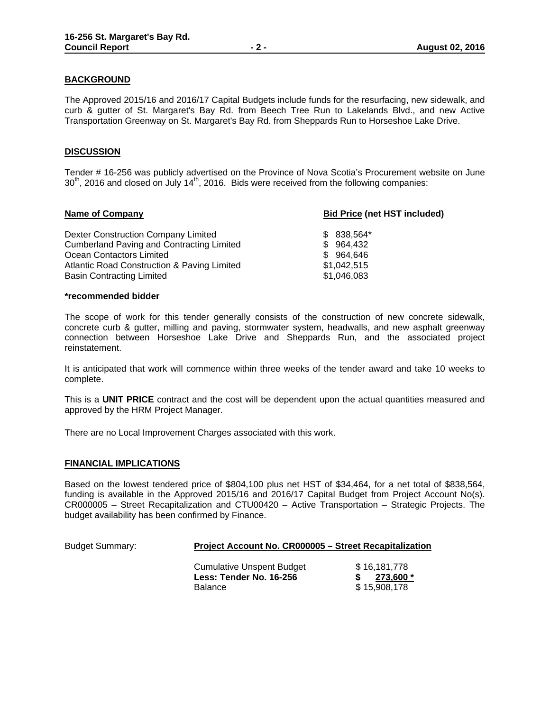## **BACKGROUND**

The Approved 2015/16 and 2016/17 Capital Budgets include funds for the resurfacing, new sidewalk, and curb & gutter of St. Margaret's Bay Rd. from Beech Tree Run to Lakelands Blvd., and new Active Transportation Greenway on St. Margaret's Bay Rd. from Sheppards Run to Horseshoe Lake Drive.

## **DISCUSSION**

Tender # 16-256 was publicly advertised on the Province of Nova Scotia's Procurement website on June  $30<sup>th</sup>$ , 2016 and closed on July 14<sup>th</sup>, 2016. Bids were received from the following companies:

| <b>Bid Price (net HST included)</b> |  |
|-------------------------------------|--|
|                                     |  |
|                                     |  |
|                                     |  |
|                                     |  |
|                                     |  |
|                                     |  |

#### **\*recommended bidder**

The scope of work for this tender generally consists of the construction of new concrete sidewalk, concrete curb & gutter, milling and paving, stormwater system, headwalls, and new asphalt greenway connection between Horseshoe Lake Drive and Sheppards Run, and the associated project reinstatement.

It is anticipated that work will commence within three weeks of the tender award and take 10 weeks to complete.

This is a **UNIT PRICE** contract and the cost will be dependent upon the actual quantities measured and approved by the HRM Project Manager.

There are no Local Improvement Charges associated with this work.

## **FINANCIAL IMPLICATIONS**

Based on the lowest tendered price of \$804,100 plus net HST of \$34,464, for a net total of \$838,564, funding is available in the Approved 2015/16 and 2016/17 Capital Budget from Project Account No(s). CR000005 – Street Recapitalization and CTU00420 – Active Transportation – Strategic Projects. The budget availability has been confirmed by Finance.

| <b>Budget Summary:</b> | Project Account No. CR000005 - Street Recapitalization                        |                                           |  |
|------------------------|-------------------------------------------------------------------------------|-------------------------------------------|--|
|                        | <b>Cumulative Unspent Budget</b><br>Less: Tender No. 16-256<br><b>Balance</b> | \$16,181,778<br>273,600 *<br>\$15,908,178 |  |